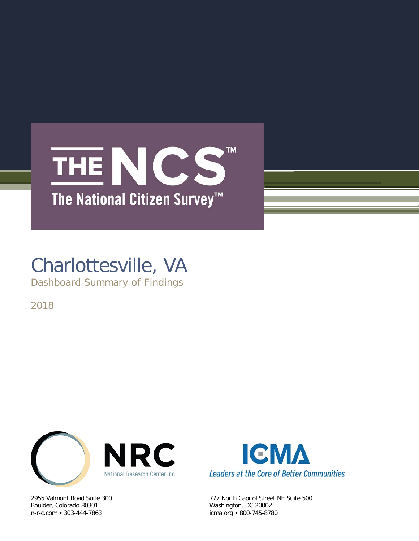## TM THE NCS The National Citizen Survey<sup>™</sup>

# Charlottesville, VA

Dashboard Summary of Findings

2018



Boulder, Colorado 80301 Washington, DC 20002



2955 Valmont Road Suite 300 777 North Capitol Street NE Suite 500 icma.org • 800-745-8780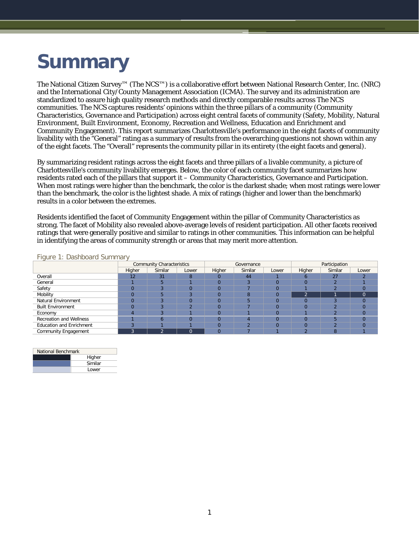## **Summary**

The National Citizen Survey™ (The NCS™) is a collaborative effort between National Research Center, Inc. (NRC) and the International City/County Management Association (ICMA). The survey and its administration are standardized to assure high quality research methods and directly comparable results across The NCS communities. The NCS captures residents' opinions within the three pillars of a community (Community Characteristics, Governance and Participation) across eight central facets of community (Safety, Mobility, Natural Environment, Built Environment, Economy, Recreation and Wellness, Education and Enrichment and Community Engagement). This report summarizes Charlottesville's performance in the eight facets of community livability with the "General" rating as a summary of results from the overarching questions not shown within any of the eight facets. The "Overall" represents the community pillar in its entirety (the eight facets and general).

By summarizing resident ratings across the eight facets and three pillars of a livable community, a picture of Charlottesville's community livability emerges. Below, the color of each community facet summarizes how residents rated each of the pillars that support it – Community Characteristics, Governance and Participation. When most ratings were higher than the benchmark, the color is the darkest shade; when most ratings were lower than the benchmark, the color is the lightest shade. A mix of ratings (higher and lower than the benchmark) results in a color between the extremes.

Residents identified the facet of Community Engagement within the pillar of Community Characteristics as strong. The facet of Mobility also revealed above-average levels of resident participation. All other facets received ratings that were generally positive and similar to ratings in other communities. This information can be helpful in identifying the areas of community strength or areas that may merit more attention.

|                                 | <b>Community Characteristics</b> |         |       |          | Governance |       | Participation |         |          |  |
|---------------------------------|----------------------------------|---------|-------|----------|------------|-------|---------------|---------|----------|--|
|                                 | Higher                           | Similar | Lower | Higher   | Similar    | Lower | Higher        | Similar | Lower    |  |
| Overall                         | 12                               | 31      | 8     | 0        | 44         |       |               | 27      |          |  |
| General                         |                                  |         |       | $\Omega$ |            |       |               | $\sim$  |          |  |
| Safety                          |                                  |         |       | $\Omega$ |            |       |               |         |          |  |
| Mobility                        |                                  |         |       | $\Omega$ | 8          |       | $\sim$        |         | $\Omega$ |  |
| Natural Environment             |                                  |         |       | $\Omega$ |            |       |               |         |          |  |
| <b>Built Environment</b>        |                                  |         |       | $\Omega$ |            |       |               |         | $\Omega$ |  |
| Economy                         |                                  |         |       | $\Omega$ |            |       |               |         | $\Omega$ |  |
| <b>Recreation and Wellness</b>  |                                  |         |       |          |            |       |               |         |          |  |
| <b>Education and Enrichment</b> |                                  |         |       |          |            |       |               |         |          |  |
| <b>Community Engagement</b>     | Ð                                | ⌒       | 0     | $\Omega$ |            |       |               | ŏ       |          |  |

Figure 1: Dashboard Summary

| National Benchmark |         |  |  |  |  |  |
|--------------------|---------|--|--|--|--|--|
|                    | Higher  |  |  |  |  |  |
|                    | Similar |  |  |  |  |  |
|                    | Lower   |  |  |  |  |  |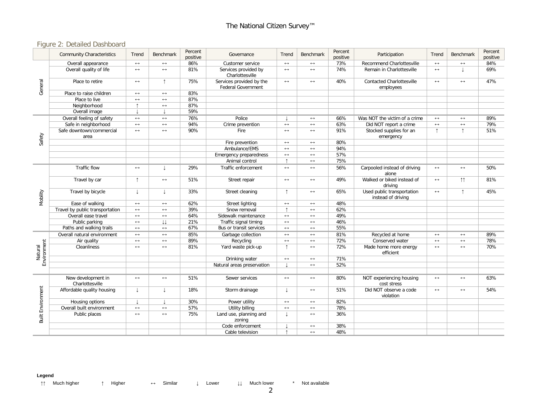### Figure 2: Detailed Dashboard

|                        | <b>Community Characteristics</b>      | Trend                 | <b>Benchmark</b>      | Percent<br>positive | Governance                                            | Trend                 | <b>Benchmark</b>      | Percent<br>positive | Participation                                    | Trend                 | Benchmark           | Percent<br>positive |
|------------------------|---------------------------------------|-----------------------|-----------------------|---------------------|-------------------------------------------------------|-----------------------|-----------------------|---------------------|--------------------------------------------------|-----------------------|---------------------|---------------------|
|                        | Overall appearance                    | $\leftrightarrow$     | $\leftrightarrow$     | 86%                 | Customer service                                      | $\leftrightarrow$     | $\leftrightarrow$     | 73%                 | Recommend Charlottesville                        | $\leftrightarrow$     | $\leftrightarrow$   | 84%                 |
| General                | Overall quality of life               | $\longleftrightarrow$ | $\leftrightarrow$     | 81%                 | Services provided by<br>Charlottesville               | $\leftrightarrow$     | $\leftrightarrow$     | 74%                 | Remain in Charlottesville                        | $\leftrightarrow$     |                     | 69%                 |
|                        | Place to retire                       | $\longleftrightarrow$ | $\uparrow$            | 75%                 | Services provided by the<br><b>Federal Government</b> | $\longleftrightarrow$ | $\leftrightarrow$     | 40%                 | <b>Contacted Charlottesville</b><br>employees    | $\leftrightarrow$     | $\leftrightarrow$   | 47%                 |
|                        | Place to raise children               | $\leftrightarrow$     | $\longleftrightarrow$ | 83%                 |                                                       |                       |                       |                     |                                                  |                       |                     |                     |
|                        | Place to live                         | $\leftrightarrow$     | $\leftrightarrow$     | 87%                 |                                                       |                       |                       |                     |                                                  |                       |                     |                     |
|                        | Neighborhood                          | $\uparrow$            | $\longleftrightarrow$ | 87%                 |                                                       |                       |                       |                     |                                                  |                       |                     |                     |
|                        | Overall image                         |                       | $\perp$               | 59%                 |                                                       |                       |                       |                     |                                                  |                       |                     |                     |
|                        | Overall feeling of safety             | $\leftrightarrow$     | $\longleftrightarrow$ | 76%                 | Police                                                |                       | $\leftrightarrow$     | 66%                 | Was NOT the victim of a crime                    | $\leftrightarrow$     | $\leftrightarrow$   | 89%                 |
|                        | Safe in neighborhood                  | $\longleftrightarrow$ | $\leftrightarrow$     | 94%                 | Crime prevention                                      | $\leftrightarrow$     | $\leftrightarrow$     | 63%                 | Did NOT report a crime                           | $\leftrightarrow$     | $\leftrightarrow$   | 79%                 |
|                        | Safe downtown/commercial<br>area      | $\longleftrightarrow$ | $\longleftrightarrow$ | 90%                 | Fire                                                  | $\leftrightarrow$     | $\longleftrightarrow$ | 91%                 | Stocked supplies for an<br>emergency             | $\uparrow$            | $\uparrow$          | 51%                 |
| Safety                 |                                       |                       |                       |                     | Fire prevention                                       | $\longleftrightarrow$ | $\leftrightarrow$     | 80%                 |                                                  |                       |                     |                     |
|                        |                                       |                       |                       |                     | Ambulance/EMS                                         | $\leftrightarrow$     | $\leftrightarrow$     | 94%                 |                                                  |                       |                     |                     |
|                        |                                       |                       |                       |                     | Emergency preparedness                                | $\leftrightarrow$     | $\leftrightarrow$     | 57%                 |                                                  |                       |                     |                     |
|                        |                                       |                       |                       |                     | Animal control                                        | $\uparrow$            | $\leftrightarrow$     | 75%                 |                                                  |                       |                     |                     |
|                        | Traffic flow                          | $\longleftrightarrow$ | $\perp$               | 29%                 | Traffic enforcement                                   | $\leftrightarrow$     | $\longleftrightarrow$ | 56%                 | Carpooled instead of driving<br>alone            | $\longleftrightarrow$ | $\leftrightarrow$   | 50%                 |
|                        | Travel by car                         | $\uparrow$            | $\longleftrightarrow$ | 51%                 | Street repair                                         | $\longleftrightarrow$ | $\longleftrightarrow$ | 49%                 | Walked or biked instead of<br>drivina            | $\leftrightarrow$     | $\uparrow \uparrow$ | 81%                 |
| Mobility               | Travel by bicycle                     | T                     | $\perp$               | 33%                 | Street cleaning                                       | $\uparrow$            | $\leftrightarrow$     | 65%                 | Used public transportation<br>instead of driving | $\leftrightarrow$     | $\uparrow$          | 45%                 |
|                        | Ease of walking                       | $\leftrightarrow$     | $\longleftrightarrow$ | 62%                 | Street lighting                                       | $\leftrightarrow$     | $\longleftrightarrow$ | 48%                 |                                                  |                       |                     |                     |
|                        | Travel by public transportation       | $\leftrightarrow$     | $\leftrightarrow$     | 39%                 | Snow removal                                          | $\uparrow$            | $\leftrightarrow$     | 62%                 |                                                  |                       |                     |                     |
|                        | Overall ease travel                   | $\leftrightarrow$     | $\longleftrightarrow$ | 64%                 | Sidewalk maintenance                                  | $\longleftrightarrow$ | $\leftrightarrow$     | 49%                 |                                                  |                       |                     |                     |
|                        | Public parking                        | $\leftrightarrow$     | IJ                    | 21%                 | Traffic signal timing                                 | $\leftrightarrow$     | $\leftrightarrow$     | 46%                 |                                                  |                       |                     |                     |
|                        | Paths and walking trails              | $\leftrightarrow$     | $\longleftrightarrow$ | 67%                 | Bus or transit services                               | $\leftrightarrow$     | $\leftrightarrow$     | 55%                 |                                                  |                       |                     |                     |
|                        | Overall natural environment           | $\longleftrightarrow$ | $\longleftrightarrow$ | 85%                 | Garbage collection                                    | $\longleftrightarrow$ | $\leftrightarrow$     | 81%                 | Recycled at home                                 | $\leftrightarrow$     | $\leftrightarrow$   | 89%                 |
|                        | Air quality                           | $\leftrightarrow$     | $\longleftrightarrow$ | 89%                 | Recycling                                             | $\leftrightarrow$     | $\leftrightarrow$     | 72%                 | Conserved water                                  | $\leftrightarrow$     | $\leftrightarrow$   | 78%                 |
| Environment<br>Natural | Cleanliness                           | $\leftrightarrow$     | $\leftrightarrow$     | 81%                 | Yard waste pick-up                                    | $\uparrow$            | $\leftrightarrow$     | 72%                 | Made home more energy<br>efficient               | $\leftrightarrow$     | $\leftrightarrow$   | 70%                 |
|                        |                                       |                       |                       |                     | Drinking water                                        | $\leftrightarrow$     | $\leftrightarrow$     | 71%                 |                                                  |                       |                     |                     |
|                        |                                       |                       |                       |                     | Natural areas preservation                            |                       | $\leftrightarrow$     | 52%                 |                                                  |                       |                     |                     |
|                        | New development in<br>Charlottesville | $\longleftrightarrow$ | $\leftrightarrow$     | 51%                 | Sewer services                                        | $\longleftrightarrow$ | $\leftrightarrow$     | 80%                 | NOT experiencing housing<br>cost stress          | $\leftrightarrow$     | $\leftrightarrow$   | 63%                 |
|                        | Affordable quality housing            | $\downarrow$          | $\downarrow$          | 18%                 | Storm drainage                                        | T                     | $\longleftrightarrow$ | 51%                 | Did NOT observe a code<br>violation              | $\leftrightarrow$     | $\leftrightarrow$   | 54%                 |
|                        | Housing options                       | $\perp$               |                       | 30%                 | Power utility                                         | $\longleftrightarrow$ | $\leftrightarrow$     | 82%                 |                                                  |                       |                     |                     |
|                        | Overall built environment             | $\leftrightarrow$     | $\leftrightarrow$     | 57%                 | Utility billing                                       | $\longleftrightarrow$ | $\leftrightarrow$     | 78%                 |                                                  |                       |                     |                     |
| Built Environment      | Public places                         | $\leftrightarrow$     | $\leftrightarrow$     | 75%                 | Land use, planning and<br>zoning                      | T                     | $\leftrightarrow$     | 36%                 |                                                  |                       |                     |                     |
|                        |                                       |                       |                       |                     | Code enforcement                                      |                       | $\longleftrightarrow$ | 38%                 |                                                  |                       |                     |                     |
|                        |                                       |                       |                       |                     | Cable television                                      | $\uparrow$            | $\leftrightarrow$     | 48%                 |                                                  |                       |                     |                     |

#### **Legend**

↑↑ Much higher ↑ Higher ↔ Similar ↓ Lower ↓↓ Much lower \* Not available

2